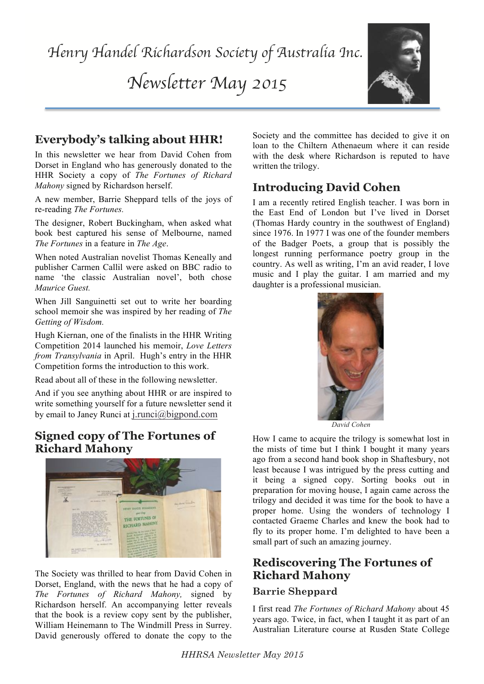*Newsletter May 2015*



# **Everybody's talking about HHR!**

In this newsletter we hear from David Cohen from Dorset in England who has generously donated to the HHR Society a copy of *The Fortunes of Richard Mahony* signed by Richardson herself.

A new member, Barrie Sheppard tells of the joys of re-reading *The Fortunes.*

The designer, Robert Buckingham, when asked what book best captured his sense of Melbourne, named *The Fortunes* in a feature in *The Age*.

When noted Australian novelist Thomas Keneally and publisher Carmen Callil were asked on BBC radio to name 'the classic Australian novel', both chose *Maurice Guest.* 

When Jill Sanguinetti set out to write her boarding school memoir she was inspired by her reading of *The Getting of Wisdom.*

Hugh Kiernan, one of the finalists in the HHR Writing Competition 2014 launched his memoir, *Love Letters from Transylvania* in April. Hugh's entry in the HHR Competition forms the introduction to this work.

Read about all of these in the following newsletter.

And if you see anything about HHR or are inspired to write something yourself for a future newsletter send it by email to Janey Runci at j.runci@bigpond.com

## **Signed copy of The Fortunes of Richard Mahony**



The Society was thrilled to hear from David Cohen in Dorset, England, with the news that he had a copy of *The Fortunes of Richard Mahony,* signed by Richardson herself. An accompanying letter reveals that the book is a review copy sent by the publisher, William Heinemann to The Windmill Press in Surrey. David generously offered to donate the copy to the

Society and the committee has decided to give it on loan to the Chiltern Athenaeum where it can reside with the desk where Richardson is reputed to have written the trilogy.

# **Introducing David Cohen**

I am a recently retired English teacher. I was born in the East End of London but I've lived in Dorset (Thomas Hardy country in the southwest of England) since 1976. In 1977 I was one of the founder members of the Badger Poets, a group that is possibly the longest running performance poetry group in the country. As well as writing, I'm an avid reader, I love music and I play the guitar. I am married and my daughter is a professional musician.



*David Cohen*

How I came to acquire the trilogy is somewhat lost in the mists of time but I think I bought it many years ago from a second hand book shop in Shaftesbury, not least because I was intrigued by the press cutting and it being a signed copy. Sorting books out in preparation for moving house, I again came across the trilogy and decided it was time for the book to have a proper home. Using the wonders of technology I contacted Graeme Charles and knew the book had to fly to its proper home. I'm delighted to have been a small part of such an amazing journey.

## **Rediscovering The Fortunes of Richard Mahony**

### **Barrie Sheppard**

I first read *The Fortunes of Richard Mahony* about 45 years ago. Twice, in fact, when I taught it as part of an Australian Literature course at Rusden State College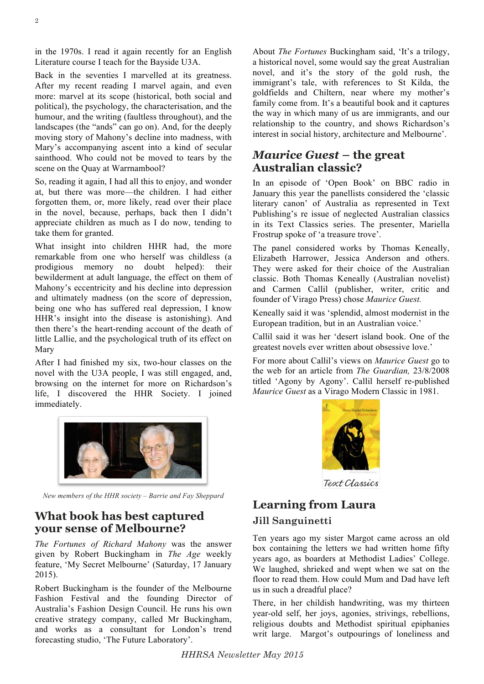in the 1970s. I read it again recently for an English Literature course I teach for the Bayside U3A.

Back in the seventies I marvelled at its greatness. After my recent reading I marvel again, and even more: marvel at its scope (historical, both social and political), the psychology, the characterisation, and the humour, and the writing (faultless throughout), and the landscapes (the "ands" can go on). And, for the deeply moving story of Mahony's decline into madness, with Mary's accompanying ascent into a kind of secular sainthood. Who could not be moved to tears by the scene on the Quay at Warrnambool?

So, reading it again, I had all this to enjoy, and wonder at, but there was more—the children. I had either forgotten them, or, more likely, read over their place in the novel, because, perhaps, back then I didn't appreciate children as much as I do now, tending to take them for granted.

What insight into children HHR had, the more remarkable from one who herself was childless (a prodigious memory no doubt helped): their bewilderment at adult language, the effect on them of Mahony's eccentricity and his decline into depression and ultimately madness (on the score of depression, being one who has suffered real depression, I know HHR's insight into the disease is astonishing). And then there's the heart-rending account of the death of little Lallie, and the psychological truth of its effect on Mary

After I had finished my six, two-hour classes on the novel with the U3A people, I was still engaged, and, browsing on the internet for more on Richardson's life, I discovered the HHR Society. I joined immediately.



*New members of the HHR society – Barrie and Fay Sheppard*

### **What book has best captured your sense of Melbourne?**

*The Fortunes of Richard Mahony* was the answer given by Robert Buckingham in *The Age* weekly feature, 'My Secret Melbourne' (Saturday, 17 January 2015).

Robert Buckingham is the founder of the Melbourne Fashion Festival and the founding Director of Australia's Fashion Design Council. He runs his own creative strategy company, called Mr Buckingham, and works as a consultant for London's trend forecasting studio, 'The Future Laboratory'.

About *The Fortunes* Buckingham said, 'It's a trilogy, a historical novel, some would say the great Australian novel, and it's the story of the gold rush, the immigrant's tale, with references to St Kilda, the goldfields and Chiltern, near where my mother's family come from. It's a beautiful book and it captures the way in which many of us are immigrants, and our relationship to the country, and shows Richardson's interest in social history, architecture and Melbourne'.

### *Maurice Guest* **– the great Australian classic?**

In an episode of 'Open Book' on BBC radio in January this year the panellists considered the 'classic literary canon' of Australia as represented in Text Publishing's re issue of neglected Australian classics in its Text Classics series. The presenter, Mariella Frostrup spoke of 'a treasure trove'.

The panel considered works by Thomas Keneally, Elizabeth Harrower, Jessica Anderson and others. They were asked for their choice of the Australian classic. Both Thomas Keneally (Australian novelist) and Carmen Callil (publisher, writer, critic and founder of Virago Press) chose *Maurice Guest.*

Keneally said it was 'splendid, almost modernist in the European tradition, but in an Australian voice.'

Callil said it was her 'desert island book. One of the greatest novels ever written about obsessive love.'

For more about Callil's views on *Maurice Guest* go to the web for an article from *The Guardian,* 23/8/2008 titled 'Agony by Agony'. Callil herself re-published *Maurice Guest* as a Virago Modern Classic in 1981.



Text Classics

# **Learning from Laura Jill Sanguinetti**

Ten years ago my sister Margot came across an old box containing the letters we had written home fifty years ago, as boarders at Methodist Ladies' College. We laughed, shrieked and wept when we sat on the floor to read them. How could Mum and Dad have left us in such a dreadful place?

There, in her childish handwriting, was my thirteen year-old self, her joys, agonies, strivings, rebellions, religious doubts and Methodist spiritual epiphanies writ large. Margot's outpourings of loneliness and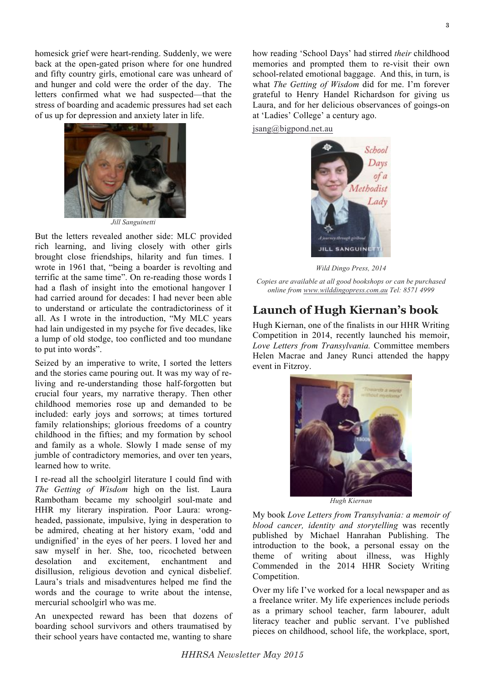homesick grief were heart-rending. Suddenly, we were back at the open-gated prison where for one hundred and fifty country girls, emotional care was unheard of and hunger and cold were the order of the day. The letters confirmed what we had suspected—that the stress of boarding and academic pressures had set each of us up for depression and anxiety later in life.



*Jill Sanguinetti*

But the letters revealed another side: MLC provided rich learning, and living closely with other girls brought close friendships, hilarity and fun times. I wrote in 1961 that, "being a boarder is revolting and terrific at the same time". On re-reading those words I had a flash of insight into the emotional hangover I had carried around for decades: I had never been able to understand or articulate the contradictoriness of it all. As I wrote in the introduction, "My MLC years had lain undigested in my psyche for five decades, like a lump of old stodge, too conflicted and too mundane to put into words".

Seized by an imperative to write, I sorted the letters and the stories came pouring out. It was my way of reliving and re-understanding those half-forgotten but crucial four years, my narrative therapy. Then other childhood memories rose up and demanded to be included: early joys and sorrows; at times tortured family relationships; glorious freedoms of a country childhood in the fifties; and my formation by school and family as a whole. Slowly I made sense of my jumble of contradictory memories, and over ten years, learned how to write.

I re-read all the schoolgirl literature I could find with *The Getting of Wisdom* high on the list. Laura Rambotham became my schoolgirl soul-mate and HHR my literary inspiration. Poor Laura: wrongheaded, passionate, impulsive, lying in desperation to be admired, cheating at her history exam, 'odd and undignified' in the eyes of her peers. I loved her and saw myself in her. She, too, ricocheted between desolation and excitement, enchantment and disillusion, religious devotion and cynical disbelief. Laura's trials and misadventures helped me find the words and the courage to write about the intense, mercurial schoolgirl who was me.

An unexpected reward has been that dozens of boarding school survivors and others traumatised by their school years have contacted me, wanting to share

how reading 'School Days' had stirred *their* childhood memories and prompted them to re-visit their own school-related emotional baggage. And this, in turn, is what *The Getting of Wisdom* did for me. I'm forever grateful to Henry Handel Richardson for giving us Laura, and for her delicious observances of goings-on at 'Ladies' College' a century ago.

jsang@bigpond.net.au



*Wild Dingo Press, 2014*

*Copies are available at all good bookshops or can be purchased online from www.wilddingopress.com.au Tel: 8571 4999*

### **Launch of Hugh Kiernan's book**

Hugh Kiernan, one of the finalists in our HHR Writing Competition in 2014, recently launched his memoir, *Love Letters from Transylvania.* Committee members Helen Macrae and Janey Runci attended the happy event in Fitzroy.



*Hugh Kiernan*

My book *Love Letters from Transylvania: a memoir of blood cancer, identity and storytelling* was recently published by Michael Hanrahan Publishing. The introduction to the book, a personal essay on the theme of writing about illness, was Highly Commended in the 2014 HHR Society Writing Competition.

Over my life I've worked for a local newspaper and as a freelance writer. My life experiences include periods as a primary school teacher, farm labourer, adult literacy teacher and public servant. I've published pieces on childhood, school life, the workplace, sport,